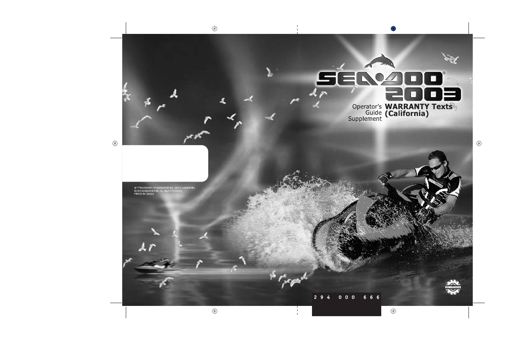

0  $6\overline{6}$  $6<sup>1</sup>$ 6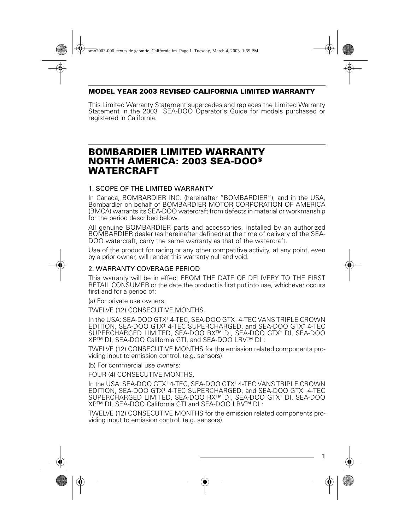## **MODEL YEAR 2003 REVISED CALIFORNIA LIMITED WARRANTY**

This Limited Warranty Statement supercedes and replaces the Limited Warranty Statement in the 2003 SEA-DOO Operator's Guide for models purchased or registered in California.

# **BOMBARDIER LIMITED WARRANTY NORTH AMERICA: 2003 SEA-DOO® WATERCRAFT**

### 1. SCOPE OF THE LIMITED WARRANTY

In Canada, BOMBARDIER INC. (hereinafter "BOMBARDIER"), and in the USA, Bombardier on behalf of BOMBARDIER MOTOR CORPORATION OF AMERICA (BMCA) warrants its SEA-DOO watercraft from defects in material or workmanship for the period described below.

All genuine BOMBARDIER parts and accessories, installed by an authorized BOMBARDIER dealer (as hereinafter defined) at the time of delivery of the SEA-DOO watercraft, carry the same warranty as that of the watercraft.

Use of the product for racing or any other competitive activity, at any point, even by a prior owner, will render this warranty null and void.

#### 2. WARRANTY COVERAGE PERIOD

This warranty will be in effect FROM THE DATE OF DELIVERY TO THE FIRST RETAIL CONSUMER or the date the product is first put into use, whichever occurs first and for a period of:

(a) For private use owners:

TWELVE (12) CONSECUTIVE MONTHS.

In the USA: SEA-DOO GTX† 4-TEC, SEA-DOO GTX† 4-TEC VANS TRIPLE CROWN EDITION, SEA-DOO GTX† 4-TEC SUPERCHARGED, and SEA-DOO GTX† 4-TEC SUPERCHARGED LIMITED, SEA-DOO RX™ DI, SEA-DOO GTX† DI, SEA-DOO XP™ DI, SEA-DOO California GTI, and SEA-DOO LRV™ DI :

TWELVE (12) CONSECUTIVE MONTHS for the emission related components providing input to emission control. (e.g. sensors).

(b) For commercial use owners:

FOUR (4) CONSECUTIVE MONTHS.

In the USA: SEA-DOO GTX† 4-TEC, SEA-DOO GTX† 4-TEC VANS TRIPLE CROWN EDITION, SEA-DOO GTX† 4-TEC SUPERCHARGED, and SEA-DOO GTX† 4-TEC SUPERCHARGED LIMITED, SEA-DOO RX™ DI, SEA-DOO GTX† DI, SEA-DOO XP™ DI, SEA-DOO California GTI and SEA-DOO LRV™ DI :

TWELVE (12) CONSECUTIVE MONTHS for the emission related components providing input to emission control. (e.g. sensors).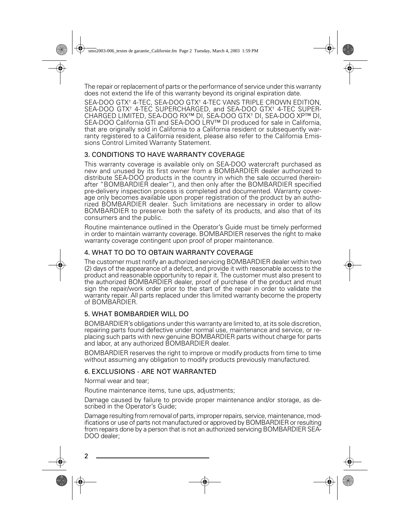The repair or replacement of parts or the performance of service under this warranty does not extend the life of this warranty beyond its original expiration date.

SEA-DOO GTX† 4-TEC, SEA-DOO GTX† 4-TEC VANS TRIPLE CROWN EDITION, SEA-DOO GTX† 4-TEC SUPERCHARGED, and SEA-DOO GTX† 4-TEC SUPER-CHARGED LIMITED, SEA-DOO RX™ DI, SEA-DOO GTX† DI, SEA-DOO XP™ DI, SEA-DOO California GTI and SEA-DOO LRV™ DI produced for sale in California, that are originally sold in California to a California resident or subsequently warranty registered to a California resident, please also refer to the California Emissions Control Limited Warranty Statement.

# 3. CONDITIONS TO HAVE WARRANTY COVERAGE

This warranty coverage is available only on SEA-DOO watercraft purchased as new and unused by its first owner from a BOMBARDIER dealer authorized to distribute SEA-DOO products in the country in which the sale occurred (hereinafter "BOMBARDIER dealer"), and then only after the BOMBARDIER specified pre-delivery inspection process is completed and documented. Warranty coverage only becomes available upon proper registration of the product by an authorized BOMBARDIER dealer. Such limitations are necessary in order to allow BOMBARDIER to preserve both the safety of its products, and also that of its consumers and the public.

Routine maintenance outlined in the Operator's Guide must be timely performed in order to maintain warranty coverage. BOMBARDIER reserves the right to make warranty coverage contingent upon proof of proper maintenance.

# 4. WHAT TO DO TO OBTAIN WARRANTY COVERAGE

The customer must notify an authorized servicing BOMBARDIER dealer within two (2) days of the appearance of a defect, and provide it with reasonable access to the product and reasonable opportunity to repair it. The customer must also present to the authorized BOMBARDIER dealer, proof of purchase of the product and must sign the repair/work order prior to the start of the repair in order to validate the warranty repair. All parts replaced under this limited warranty become the property of BOMBARDIER.

### 5. WHAT BOMBARDIER WILL DO

BOMBARDIER's obligations under this warranty are limited to, at its sole discretion, repairing parts found defective under normal use, maintenance and service, or replacing such parts with new genuine BOMBARDIER parts without charge for parts and labor, at any authorized BOMBARDIER dealer.

BOMBARDIER reserves the right to improve or modify products from time to time without assuming any obligation to modify products previously manufactured.

### 6. EXCLUSIONS - ARE NOT WARRANTED

Normal wear and tear;

Routine maintenance items, tune ups, adjustments;

Damage caused by failure to provide proper maintenance and/or storage, as described in the Operator's Guide;

Damage resulting from removal of parts, improper repairs, service, maintenance, modifications or use of parts not manufactured or approved by BOMBARDIER or resulting from repairs done by a person that is not an authorized servicing BOMBARDIER SEA-DOO dealer:

2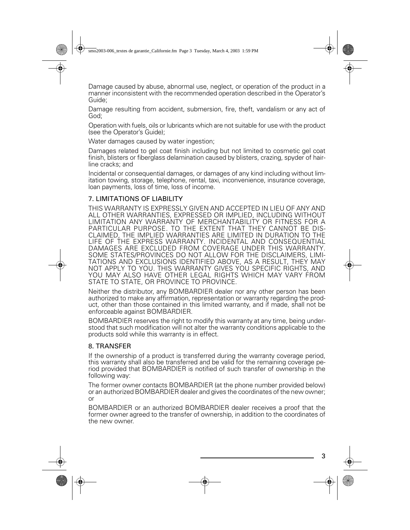Damage caused by abuse, abnormal use, neglect, or operation of the product in a manner inconsistent with the recommended operation described in the Operator's Guide;

Damage resulting from accident, submersion, fire, theft, vandalism or any act of God;

Operation with fuels, oils or lubricants which are not suitable for use with the product (see the Operator's Guide);

Water damages caused by water ingestion:

Damages related to gel coat finish including but not limited to cosmetic gel coat finish, blisters or fiberglass delamination caused by blisters, crazing, spyder of hairline cracks; and

Incidental or consequential damages, or damages of any kind including without limitation towing, storage, telephone, rental, taxi, inconvenience, insurance coverage, loan payments, loss of time, loss of income.

### 7. LIMITATIONS OF LIABILITY

THIS WARRANTY IS EXPRESSLY GIVEN AND ACCEPTED IN LIEU OF ANY AND ALL OTHER WARRANTIES, EXPRESSED OR IMPLIED, INCLUDING WITHOUT LIMITATION ANY WARRANTY OF MERCHANTABILITY OR FITNESS FOR A PARTICULAR PURPOSE. TO THE EXTENT THAT THEY CANNOT BE DIS-CLAIMED, THE IMPLIED WARRANTIES ARE LIMITED IN DURATION TO THE LIFE OF THE EXPRESS WARRANTY. INCIDENTAL AND CONSEQUENTIAL DAMAGES ARE EXCLUDED FROM COVERAGE UNDER THIS WARRANTY. SOME STATES/PROVINCES DO NOT ALLOW FOR THE DISCLAIMERS, LIMI-TATIONS AND EXCLUSIONS IDENTIFIED ABOVE, AS A RESULT, THEY MAY NOT APPLY TO YOU. THIS WARRANTY GIVES YOU SPECIFIC RIGHTS, AND YOU MAY ALSO HAVE OTHER LEGAL RIGHTS WHICH MAY VARY FROM STATE TO STATE, OR PROVINCE TO PROVINCE.

Neither the distributor, any BOMBARDIER dealer nor any other person has been authorized to make any affirmation, representation or warranty regarding the product, other than those contained in this limited warranty, and if made, shall not be enforceable against BOMBARDIER.

BOMBARDIER reserves the right to modify this warranty at any time, being understood that such modification will not alter the warranty conditions applicable to the products sold while this warranty is in effect.

#### 8. TRANSFER

If the ownership of a product is transferred during the warranty coverage period, this warranty shall also be transferred and be valid for the remaining coverage period provided that BOMBARDIER is notified of such transfer of ownership in the following way:

The former owner contacts BOMBARDIER (at the phone number provided below) or an authorized BOMBARDIER dealer and gives the coordinates of the new owner; or

BOMBARDIER or an authorized BOMBARDIER dealer receives a proof that the former owner agreed to the transfer of ownership, in addition to the coordinates of the new owner.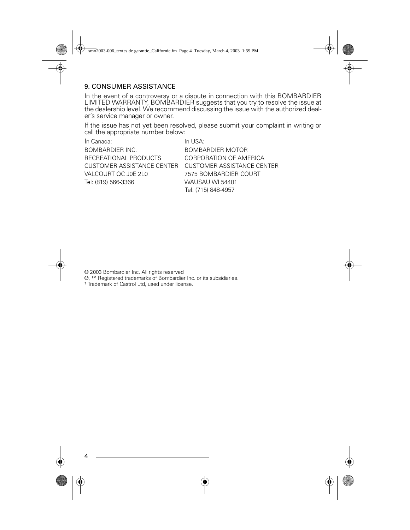### 9. CONSUMER ASSISTANCE

In the event of a controversy or a dispute in connection with this BOMBARDIER LIMITED WARRANTY, BOMBARDIER suggests that you try to resolve the issue at the dealership level. We recommend discussing the issue with the authorized dealer's service manager or owner.

If the issue has not yet been resolved, please submit your complaint in writing or call the appropriate number below:

| In Canada:                                   | In USA:                 |
|----------------------------------------------|-------------------------|
| <b>BOMBARDIER INC.</b>                       | <b>BOMBARDIER MOTOR</b> |
| RECREATIONAL PRODUCTS                        | CORPORATION OF AM       |
| CUSTOMER ASSISTANCE CENTER CUSTOMER ASSISTAN |                         |
| VALCOURT OC JOE 2L0                          | 7575 BOMBARDIER CC      |
| Tel: (819) 566-3366                          | WAUSAU WI 54401         |
|                                              | $T_2$ I. (715) 040 4057 |

**RECATION** SSISTANCE CENTER DIFR COURT Tel: (715) 848-4957

© 2003 Bombardier Inc. All rights reserved

®, ™ Registered trademarks of Bombardier Inc. or its subsidiaries.<br>† Trademark of Castrol Ltd, used under license.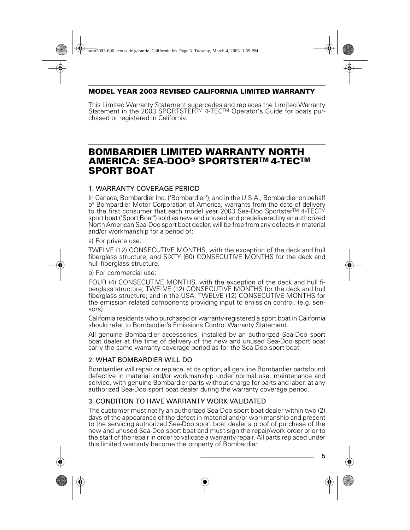## **MODEL YEAR 2003 REVISED CALIFORNIA LIMITED WARRANTY**

This Limited Warranty Statement supercedes and replaces the Limited Warranty Statement in the 2003 SPORTSTER™ 4-TEC™ Operator's Guide for boats purchased or registered in California.

# **BOMBARDIER LIMITED WARRANTY NORTH AMERICA: SEA-DOO® SPORTSTERTM 4-TECTM SPORT BOAT**

# 1. WARRANTY COVERAGE PERIOD

In Canada, Bombardier Inc. ("Bombardier"), and in the U.S.A., Bombardier on behalf of Bombardier Motor Corporation of America, warrants from the date of delivery to the first consumer that each model year 2003 Sea-Doo Sportster™ 4-TEC™ sport boat ("Sport Boat") sold as new and unused and predelivered by an authorized North American Sea-Doo sport boat dealer, will be free from any defects in material and/or workmanship for a period of:

a) For private use:

TWELVE (12) CONSECUTIVE MONTHS, with the exception of the deck and hull fiberglass structure; and SIXTY (60) CONSECUTIVE MONTHS for the deck and hull fiberglass structure.

b) For commercial use:

FOUR (4) CONSECUTIVE MONTHS, with the exception of the deck and hull fiberglass structure; TWELVE (12) CONSECUTIVE MONTHS for the deck and hull fiberglass structure; and in the USA: TWELVE (12) CONSECUTIVE MONTHS for the emission related components providing input to emission control. (e.g. sensors).

California residents who purchased or warranty-registered a sport boat in California should refer to Bombardier's Emissions Control Warranty Statement.

All genuine Bombardier accessories, installed by an authorized Sea-Doo sport boat dealer at the time of delivery of the new and unused Sea-Doo sport boat carry the same warranty coverage period as for the Sea-Doo sport boat.

### 2. WHAT BOMBARDIER WILL DO

Bombardier will repair or replace, at its option, all genuine Bombardier partsfound defective in material and/or workmanship under normal use, maintenance and service, with genuine Bombardier parts without charge for parts and labor, at any authorized Sea-Doo sport boat dealer during the warranty coverage period.

# 3. CONDITION TO HAVE WARRANTY WORK VALIDATED

The customer must notify an authorized Sea-Doo sport boat dealer within two (2) days of the appearance of the defect in material and/or workmanship and present to the servicing authorized Sea-Doo sport boat dealer a proof of purchase of the new and unused Sea-Doo sport boat and must sign the repair/work order prior to the start of the repair in order to validate a warranty repair. All parts replaced under this limited warranty become the property of Bombardier.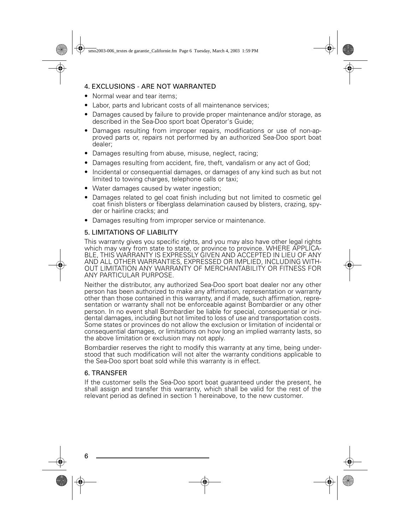# 4. EXCLUSIONS - ARE NOT WARRANTED

- Normal wear and tear items;
- Labor, parts and lubricant costs of all maintenance services;
- Damages caused by failure to provide proper maintenance and/or storage, as described in the Sea-Doo sport boat Operator's Guide;
- Damages resulting from improper repairs, modifications or use of non-approved parts or, repairs not performed by an authorized Sea-Doo sport boat dealer;
- Damages resulting from abuse, misuse, neglect, racing;
- Damages resulting from accident, fire, theft, vandalism or any act of God;
- Incidental or consequential damages, or damages of any kind such as but not limited to towing charges, telephone calls or taxi;
- Water damages caused by water ingestion;
- Damages related to gel coat finish including but not limited to cosmetic gel coat finish blisters or fiberglass delamination caused by blisters, crazing, spyder or hairline cracks; and
- Damages resulting from improper service or maintenance.

### 5. LIMITATIONS OF LIABILITY

This warranty gives you specific rights, and you may also have other legal rights which may vary from state to state, or province to province. WHERE APPLICA-BLE, THIS WARRANTY IS EXPRESSLY GIVEN AND ACCEPTED IN LIEU OF ANY AND ALL OTHER WARRANTIES, EXPRESSED OR IMPLIED, INCLUDING WITH-OUT LIMITATION ANY WARRANTY OF MERCHANTABILITY OR FITNESS FOR ANY PARTICULAR PURPOSE.

Neither the distributor, any authorized Sea-Doo sport boat dealer nor any other person has been authorized to make any affirmation, representation or warranty other than those contained in this warranty, and if made, such affirmation, representation or warranty shall not be enforceable against Bombardier or any other person. In no event shall Bombardier be liable for special, consequential or incidental damages, including but not limited to loss of use and transportation costs. Some states or provinces do not allow the exclusion or limitation of incidental or consequential damages, or limitations on how long an implied warranty lasts, so the above limitation or exclusion may not apply.

Bombardier reserves the right to modify this warranty at any time, being understood that such modification will not alter the warranty conditions applicable to the Sea-Doo sport boat sold while this warranty is in effect.

# 6. TRANSFER

If the customer sells the Sea-Doo sport boat guaranteed under the present, he shall assign and transfer this warranty, which shall be valid for the rest of the relevant period as defined in section 1 hereinabove, to the new customer.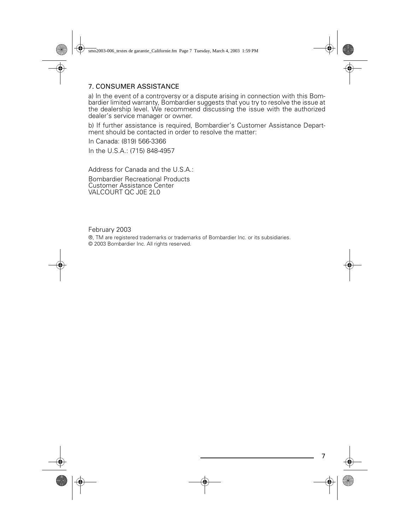# 7. CONSUMER ASSISTANCE

a) In the event of a controversy or a dispute arising in connection with this Bombardier limited warranty, Bombardier suggests that you try to resolve the issue at the dealership level. We recommend discussing the issue with the authorized dealer's service manager or owner.

b) If further assistance is required, Bombardier's Customer Assistance Department should be contacted in order to resolve the matter:

In Canada: (819) 566-3366

In the U.S.A.: (715) 848-4957

Address for Canada and the U.S.A.:

Bombardier Recreational Products Customer Assistance Center VALCOURT QC J0E 2L0

February 2003

®, TM are registered trademarks or trademarks of Bombardier Inc. or its subsidiaries. © 2003 Bombardier Inc. All rights reserved.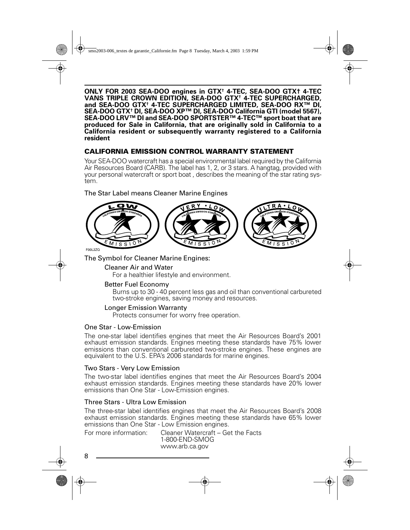**ONLY FOR 2003 SEA-DOO engines in GTX† 4-TEC, SEA-DOO GTX† 4-TEC VANS TRIPLE CROWN EDITION, SEA-DOO GTX† 4-TEC SUPERCHARGED, and SEA-DOO GTX† 4-TEC SUPERCHARGED LIMITED, SEA-DOO RX™ DI, SEA-DOO GTX† DI, SEA-DOO XP™ DI, SEA-DOO California GTI (model 5567), SEA-DOO LRV™ DI and SEA-DOO SPORTSTER™ 4-TEC™ sport boat that are produced for Sale in California, that are originally sold in California to a California resident or subsequently warranty registered to a California resident** 

### **CALIFORNIA EMISSION CONTROL WARRANTY STATEMENT**

Your SEA-DOO watercraft has a special environmental label required by the California Air Resources Board (CARB). The label has 1, 2, or 3 stars. A hangtag, provided with your personal watercraft or sport boat , describes the meaning of the star rating system.

The Star Label means Cleaner Marine Engines



F00L2ZQ

The Symbol for Cleaner Marine Engines:

#### Cleaner Air and Water

For a healthier lifestyle and environment.

#### Better Fuel Economy

Burns up to 30 - 40 percent less gas and oil than conventional carbureted two-stroke engines, saving money and resources.

#### Longer Emission Warranty

Protects consumer for worry free operation.

#### One Star - Low-Emission

The one-star label identifies engines that meet the Air Resources Board's 2001 exhaust emission standards. Engines meeting these standards have 75% lower emissions than conventional carbureted two-stroke engines. These engines are equivalent to the U.S. EPA's 2006 standards for marine engines.

#### Two Stars - Very Low Emission

The two-star label identifies engines that meet the Air Resources Board's 2004 exhaust emission standards. Engines meeting these standards have 20% lower emissions than One Star - Low-Emission engines.

#### Three Stars - Ultra Low Emission

The three-star label identifies engines that meet the Air Resources Board's 2008 exhaust emission standards. Engines meeting these standards have 65% lower emissions than One Star - Low Emission engines.

For more information: Cleaner Watercraft – Get the Facts 1-800-END-SMOG www.arb.ca.gov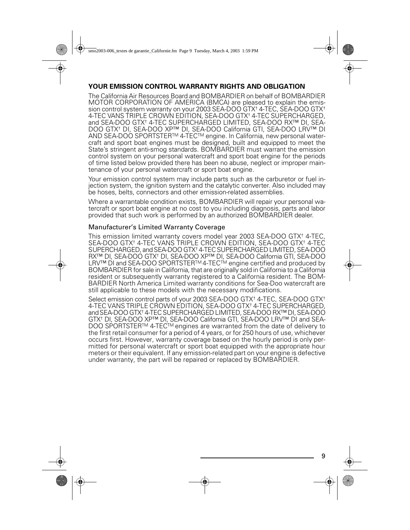### **YOUR EMISSION CONTROL WARRANTY RIGHTS AND OBLIGATION**

The California Air Resources Board and BOMBARDIER on behalf of BOMBARDIER MOTOR CORPORATION OF AMERICA (BMCA) are pleased to explain the emission control system warranty on your 2003 SEA-DOO GTX† 4-TEC, SEA-DOO GTX† 4-TEC VANS TRIPLE CROWN EDITION, SEA-DOO GTX† 4-TEC SUPERCHARGED, and SEA-DOO GTX† 4-TEC SUPERCHARGED LIMITED, SEA-DOO RX™ DI, SEA-DOO GTX† DI, SEA-DOO XP™ DI, SEA-DOO California GTI, SEA-DOO LRV™ DI AND SEA-DOO SPORTSTERTM 4-TECTM engine. In California, new personal watercraft and sport boat engines must be designed, built and equipped to meet the State's stringent anti-smog standards. BOMBARDIER must warrant the emission control system on your personal watercraft and sport boat engine for the periods of time listed below provided there has been no abuse, neglect or improper maintenance of your personal watercraft or sport boat engine.

Your emission control system may include parts such as the carburetor or fuel injection system, the ignition system and the catalytic converter. Also included may be hoses, belts, connectors and other emission-related assemblies.

Where a warrantable condition exists, BOMBARDIER will repair your personal watercraft or sport boat engine at no cost to you including diagnosis, parts and labor provided that such work is performed by an authorized BOMBARDIER dealer.

#### Manufacturer's Limited Warranty Coverage

This emission limited warranty covers model year 2003 SEA-DOO GTX† 4-TEC, SEA-DOO GTX† 4-TEC VANS TRIPLE CROWN EDITION, SEA-DOO GTX† 4-TEC SUPERCHARGED, and SEA-DOO GTX† 4-TEC SUPERCHARGED LIMITED, SEA-DOO RX™ DI, SEA-DOO GTX† DI, SEA-DOO XP™ DI, SEA-DOO California GTI, SEA-DOO LRV™ DI and SEA-DOO SPORTSTERTM 4-TECTM engine certified and produced by BOMBARDIER for sale in California, that are originally sold in California to a California resident or subsequently warranty registered to a California resident. The BOM-BARDIER North America Limited warranty conditions for Sea-Doo watercraft are still applicable to these models with the necessary modifications.

Select emission control parts of your 2003 SEA-DOO GTX<sup>+</sup> 4-TEC, SEA-DOO GTX<sup>+</sup> 4-TEC VANS TRIPLE CROWN EDITION, SEA-DOO GTX† 4-TEC SUPERCHARGED, and SEA-DOO GTX† 4-TEC SUPERCHARGED LIMITED, SEA-DOO RX™ DI, SEA-DOO GTX† DI, SEA-DOO XP™ DI, SEA-DOO California GTI, SEA-DOO LRV™ DI and SEA-DOO SPORTSTER™ 4-TEC™ engines are warranted from the date of delivery to the first retail consumer for a period of 4 years, or for 250 hours of use, whichever occurs first. However, warranty coverage based on the hourly period is only permitted for personal watercraft or sport boat equipped with the appropriate hour meters or their equivalent. If any emission-related part on your engine is defective under warranty, the part will be repaired or replaced by BOMBARDIER.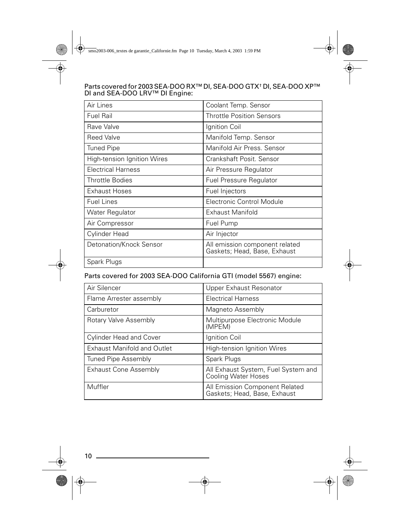#### Parts covered for 2003 SEA-DOO RX™ DI, SEA-DOO GTX† DI, SEA-DOO XP™ DI and SEA-DOO LRV™ DI Engine:

| Air Lines                   | Coolant Temp. Sensor                                           |
|-----------------------------|----------------------------------------------------------------|
| <b>Fuel Rail</b>            | <b>Throttle Position Sensors</b>                               |
| Rave Valve                  | Ignition Coil                                                  |
| <b>Reed Valve</b>           | Manifold Temp. Sensor                                          |
| <b>Tuned Pipe</b>           | Manifold Air Press, Sensor                                     |
| High-tension Ignition Wires | Crankshaft Posit, Sensor                                       |
| Electrical Harness          | Air Pressure Regulator                                         |
| <b>Throttle Bodies</b>      | <b>Fuel Pressure Regulator</b>                                 |
| <b>Exhaust Hoses</b>        | Fuel Injectors                                                 |
| <b>Fuel Lines</b>           | Electronic Control Module                                      |
| Water Regulator             | Exhaust Manifold                                               |
| Air Compressor              | Fuel Pump                                                      |
| Cylinder Head               | Air Injector                                                   |
| Detonation/Knock Sensor     | All emission component related<br>Gaskets; Head, Base, Exhaust |
| Spark Plugs                 |                                                                |

### Parts covered for 2003 SEA-DOO California GTI (model 5567) engine:

| Air Silencer                       | Upper Exhaust Resonator                                           |
|------------------------------------|-------------------------------------------------------------------|
| Flame Arrester assembly            | Electrical Harness                                                |
| Carburetor                         | Magneto Assembly                                                  |
| Rotary Valve Assembly              | Multipurpose Electronic Module<br>(MPEM)                          |
| <b>Cylinder Head and Cover</b>     | Ignition Coil                                                     |
| <b>Exhaust Manifold and Outlet</b> | High-tension Ignition Wires                                       |
| Tuned Pipe Assembly                | Spark Plugs                                                       |
| <b>Exhaust Cone Assembly</b>       | All Exhaust System, Fuel System and<br><b>Cooling Water Hoses</b> |
| Muffler                            | All Emission Component Related<br>Gaskets; Head, Base, Exhaust    |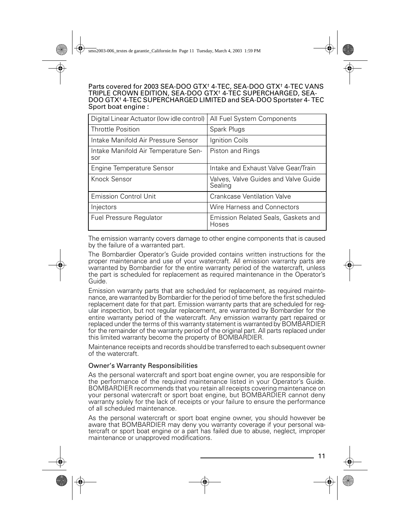Parts covered for 2003 SEA-DOO GTX<sup>+</sup> 4-TEC, SEA-DOO GTX<sup>+</sup> 4-TEC VANS TRIPLE CROWN EDITION, SEA-DOO GTX† 4-TEC SUPERCHARGED, SEA-DOO GTX† 4-TEC SUPERCHARGED LIMITED and SEA-DOO Sportster 4- TEC Sport boat engine :

| Digital Linear Actuator (low idle control)  | All Fuel System Components                      |
|---------------------------------------------|-------------------------------------------------|
| Throttle Position                           | Spark Plugs                                     |
| Intake Manifold Air Pressure Sensor         | Ignition Coils                                  |
| Intake Manifold Air Temperature Sen-<br>sor | Piston and Rings                                |
| Engine Temperature Sensor                   | Intake and Exhaust Valve Gear/Train             |
| Knock Sensor                                | Valves, Valve Guides and Valve Guide<br>Sealing |
| Emission Control Unit                       | Crankcase Ventilation Valve                     |
| Injectors                                   | Wire Harness and Connectors                     |
| <b>Fuel Pressure Regulator</b>              | Emission Related Seals, Gaskets and<br>Hoses    |

The emission warranty covers damage to other engine components that is caused by the failure of a warranted part.

The Bombardier Operator's Guide provided contains written instructions for the proper maintenance and use of your watercraft. All emission warranty parts are warranted by Bombardier for the entire warranty period of the watercraft, unless the part is scheduled for replacement as required maintenance in the Operator's Guide.

Emission warranty parts that are scheduled for replacement, as required maintenance, are warranted by Bombardier for the period of time before the first scheduled replacement date for that part. Emission warranty parts that are scheduled for regular inspection, but not regular replacement, are warranted by Bombardier for the entire warranty period of the watercraft. Any emission warranty part repaired or replaced under the terms of this warranty statement is warranted by BOMBARDIER for the remainder of the warranty period of the original part. All parts replaced under this limited warranty become the property of BOMBARDIER.

Maintenance receipts and records should be transferred to each subsequent owner of the watercraft.

#### Owner's Warranty Responsibilities

As the personal watercraft and sport boat engine owner, you are responsible for the performance of the required maintenance listed in your Operator's Guide. BOMBARDIER recommends that you retain all receipts covering maintenance on your personal watercraft or sport boat engine, but BOMBARDIER cannot deny warranty solely for the lack of receipts or your failure to ensure the performance of all scheduled maintenance.

As the personal watercraft or sport boat engine owner, you should however be aware that BOMBARDIER may deny you warranty coverage if your personal watercraft or sport boat engine or a part has failed due to abuse, neglect, improper maintenance or unapproved modifications.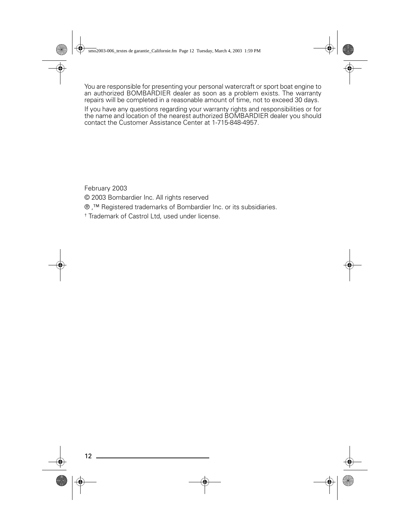You are responsible for presenting your personal watercraft or sport boat engine to an authorized BOMBARDIER dealer as soon as a problem exists. The warranty repairs will be completed in a reasonable amount of time, not to exceed 30 days.

If you have any questions regarding your warranty rights and responsibilities or for the name and location of the nearest authorized BOMBARDIER dealer you should contact the Customer Assistance Center at 1-715-848-4957.

February 2003

© 2003 Bombardier Inc. All rights reserved

® ,™ Registered trademarks of Bombardier Inc. or its subsidiaries.

† Trademark of Castrol Ltd, used under license.